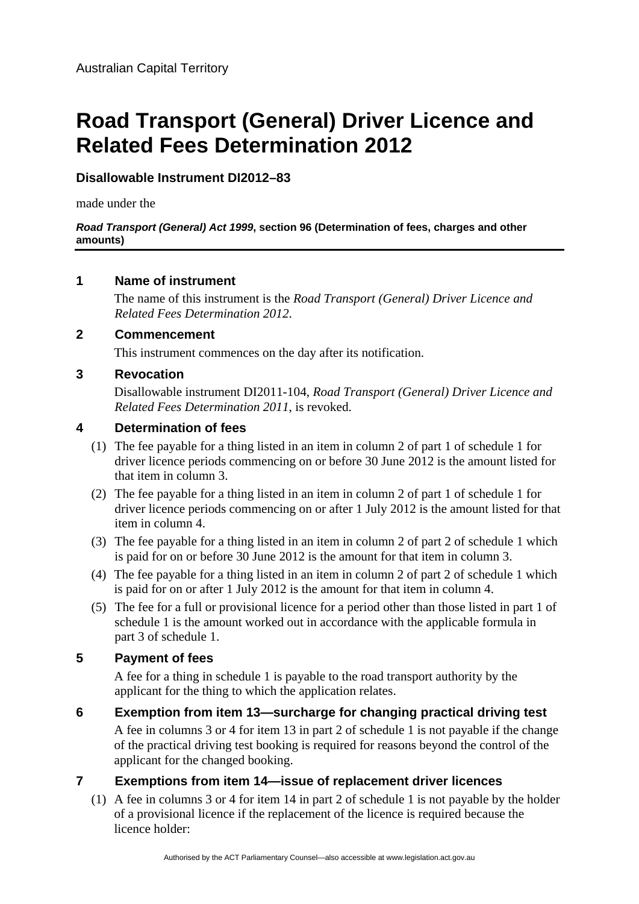# **Road Transport (General) Driver Licence and Related Fees Determination 2012**

## **Disallowable Instrument DI2012–83**

made under the

#### *Road Transport (General) Act 1999***, section 96 (Determination of fees, charges and other amounts)**

## **1 Name of instrument**

The name of this instrument is the *Road Transport (General) Driver Licence and Related Fees Determination 2012*.

## **2 Commencement**

This instrument commences on the day after its notification.

## **3 Revocation**

Disallowable instrument DI2011-104, *Road Transport (General) Driver Licence and Related Fees Determination 2011*, is revoked.

## **4 Determination of fees**

- (1) The fee payable for a thing listed in an item in column 2 of part 1 of schedule 1 for driver licence periods commencing on or before 30 June 2012 is the amount listed for that item in column 3.
- (2) The fee payable for a thing listed in an item in column 2 of part 1 of schedule 1 for driver licence periods commencing on or after 1 July 2012 is the amount listed for that item in column 4.
- (3) The fee payable for a thing listed in an item in column 2 of part 2 of schedule 1 which is paid for on or before 30 June 2012 is the amount for that item in column 3.
- (4) The fee payable for a thing listed in an item in column 2 of part 2 of schedule 1 which is paid for on or after 1 July 2012 is the amount for that item in column 4.
- (5) The fee for a full or provisional licence for a period other than those listed in part 1 of schedule 1 is the amount worked out in accordance with the applicable formula in part 3 of schedule 1.

## **5 Payment of fees**

A fee for a thing in schedule 1 is payable to the road transport authority by the applicant for the thing to which the application relates.

**6 Exemption from item 13—surcharge for changing practical driving test**  A fee in columns 3 or 4 for item 13 in part 2 of schedule 1 is not payable if the change of the practical driving test booking is required for reasons beyond the control of the applicant for the changed booking.

## **7 Exemptions from item 14—issue of replacement driver licences**

(1) A fee in columns 3 or 4 for item 14 in part 2 of schedule 1 is not payable by the holder of a provisional licence if the replacement of the licence is required because the licence holder: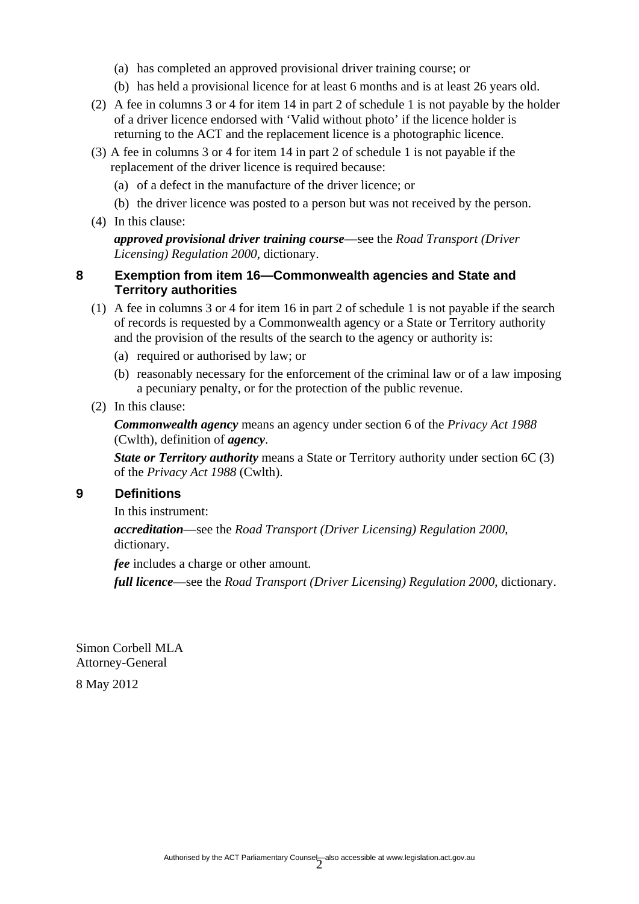- (a) has completed an approved provisional driver training course; or
- (b) has held a provisional licence for at least 6 months and is at least 26 years old.
- (2) A fee in columns 3 or 4 for item 14 in part 2 of schedule 1 is not payable by the holder of a driver licence endorsed with 'Valid without photo' if the licence holder is returning to the ACT and the replacement licence is a photographic licence.
- (3) A fee in columns 3 or 4 for item 14 in part 2 of schedule 1 is not payable if the replacement of the driver licence is required because:
	- (a) of a defect in the manufacture of the driver licence; or
	- (b) the driver licence was posted to a person but was not received by the person.
- (4) In this clause:

*approved provisional driver training course*—see the *Road Transport (Driver Licensing) Regulation 2000*, dictionary.

#### **8 Exemption from item 16—Commonwealth agencies and State and Territory authorities**

- (1) A fee in columns 3 or 4 for item 16 in part 2 of schedule 1 is not payable if the search of records is requested by a Commonwealth agency or a State or Territory authority and the provision of the results of the search to the agency or authority is:
	- (a) required or authorised by law; or
	- (b) reasonably necessary for the enforcement of the criminal law or of a law imposing a pecuniary penalty, or for the protection of the public revenue.
- (2) In this clause:

*Commonwealth agency* means an agency under section 6 of the *Privacy Act 1988* (Cwlth), definition of *agency*.

*State or Territory authority* means a State or Territory authority under section 6C (3) of the *Privacy Act 1988* (Cwlth).

#### **9 Definitions**

In this instrument:

*accreditation*—see the *Road Transport (Driver Licensing) Regulation 2000*, dictionary.

*fee* includes a charge or other amount.

*full licence*—see the *Road Transport (Driver Licensing) Regulation 2000*, dictionary.

Simon Corbell MLA Attorney-General

8 May 2012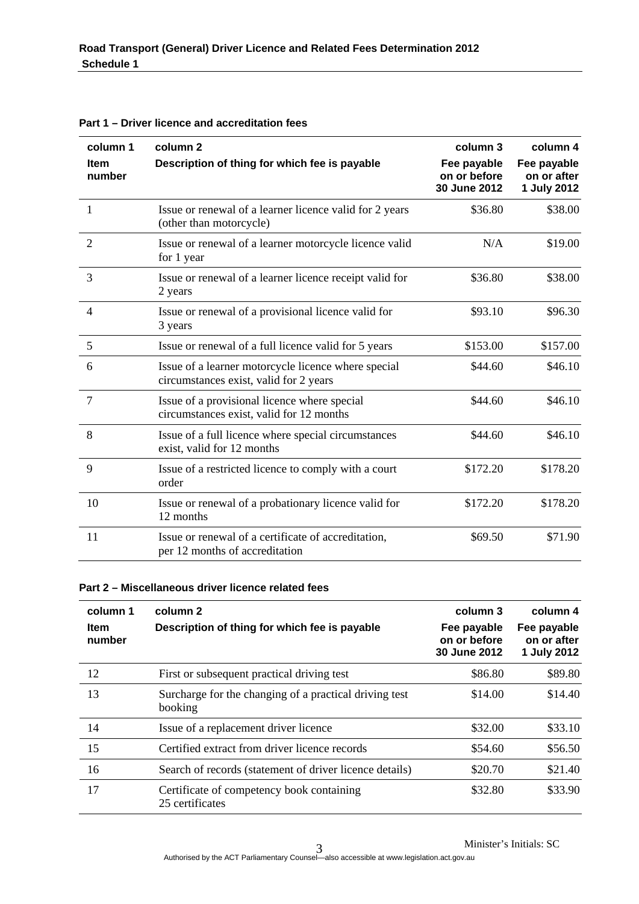| column 1<br><b>Item</b><br>number | column <sub>2</sub><br>Description of thing for which fee is payable                          | column 3<br>Fee payable<br>on or before<br>30 June 2012 | column 4<br>Fee payable<br>on or after<br>1 July 2012 |
|-----------------------------------|-----------------------------------------------------------------------------------------------|---------------------------------------------------------|-------------------------------------------------------|
| 1                                 | Issue or renewal of a learner licence valid for 2 years<br>(other than motorcycle)            | \$36.80                                                 | \$38.00                                               |
| $\overline{2}$                    | Issue or renewal of a learner motorcycle licence valid<br>for 1 year                          | N/A                                                     | \$19.00                                               |
| 3                                 | Issue or renewal of a learner licence receipt valid for<br>2 years                            | \$36.80                                                 | \$38.00                                               |
| 4                                 | Issue or renewal of a provisional licence valid for<br>3 years                                | \$93.10                                                 | \$96.30                                               |
| 5                                 | Issue or renewal of a full licence valid for 5 years                                          | \$153.00                                                | \$157.00                                              |
| 6                                 | Issue of a learner motorcycle licence where special<br>circumstances exist, valid for 2 years | \$44.60                                                 | \$46.10                                               |
| $\overline{7}$                    | Issue of a provisional licence where special<br>circumstances exist, valid for 12 months      | \$44.60                                                 | \$46.10                                               |
| 8                                 | Issue of a full licence where special circumstances<br>exist, valid for 12 months             | \$44.60                                                 | \$46.10                                               |
| 9                                 | Issue of a restricted licence to comply with a court<br>order                                 | \$172.20                                                | \$178.20                                              |
| 10                                | Issue or renewal of a probationary licence valid for<br>12 months                             | \$172.20                                                | \$178.20                                              |
| 11                                | Issue or renewal of a certificate of accreditation,<br>per 12 months of accreditation         | \$69.50                                                 | \$71.90                                               |

**Part 1 – Driver licence and accreditation fees** 

#### **Part 2 – Miscellaneous driver licence related fees**

| column 1<br><b>Item</b><br>number | column 2<br>Description of thing for which fee is payable         | column 3<br>Fee payable<br>on or before<br>30 June 2012 | column 4<br>Fee payable<br>on or after<br>1 July 2012 |
|-----------------------------------|-------------------------------------------------------------------|---------------------------------------------------------|-------------------------------------------------------|
| 12                                | First or subsequent practical driving test                        | \$86.80                                                 | \$89.80                                               |
| 13                                | Surcharge for the changing of a practical driving test<br>booking | \$14.00                                                 | \$14.40                                               |
| 14                                | Issue of a replacement driver licence                             | \$32.00                                                 | \$33.10                                               |
| 15                                | Certified extract from driver licence records                     | \$54.60                                                 | \$56.50                                               |
| 16                                | Search of records (statement of driver licence details)           | \$20.70                                                 | \$21.40                                               |
| 17                                | Certificate of competency book containing<br>25 certificates      | \$32.80                                                 | \$33.90                                               |